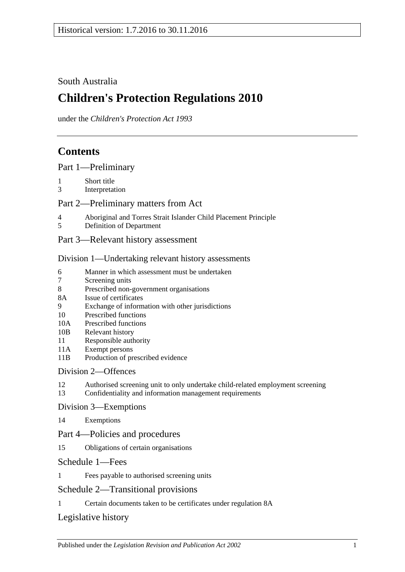# South Australia

# **Children's Protection Regulations 2010**

under the *Children's Protection Act 1993*

# **Contents**

[Part 1—Preliminary](#page-1-0)

- 1 [Short title](#page-1-1)
- 3 [Interpretation](#page-1-2)

## [Part 2—Preliminary matters from Act](#page-2-0)

- 4 [Aboriginal and Torres Strait Islander Child Placement Principle](#page-2-1)
- 5 [Definition of Department](#page-3-0)
- [Part 3—Relevant history assessment](#page-3-1)

## [Division 1—Undertaking relevant history assessments](#page-3-2)

- 6 [Manner in which assessment must be undertaken](#page-3-3)<br>7 Screening units
- [Screening units](#page-4-0)
- 8 [Prescribed non-government organisations](#page-4-1)
- 8A [Issue of certificates](#page-4-2)
- 9 [Exchange of information with other jurisdictions](#page-5-0)
- 10 [Prescribed functions](#page-5-1)
- 10A [Prescribed functions](#page-5-2)
- 10B [Relevant history](#page-6-0)
- 11 [Responsible authority](#page-6-1)
- 11A [Exempt persons](#page-6-2)
- 11B [Production of prescribed evidence](#page-7-0)

# [Division 2—Offences](#page-7-1)

- 12 [Authorised screening unit to only undertake child-related employment screening](#page-7-2)
- 13 [Confidentiality and information management requirements](#page-8-0)

## [Division 3—Exemptions](#page-9-0)

14 [Exemptions](#page-9-1)

## Part [4—Policies and procedures](#page-10-0)

15 [Obligations of certain organisations](#page-10-1)

## [Schedule 1—Fees](#page-10-2)

1 [Fees payable to authorised screening units](#page-10-3)

# [Schedule 2—Transitional provisions](#page-10-4)

1 [Certain documents taken to be certificates under regulation](#page-10-5) 8A

# [Legislative history](#page-12-0)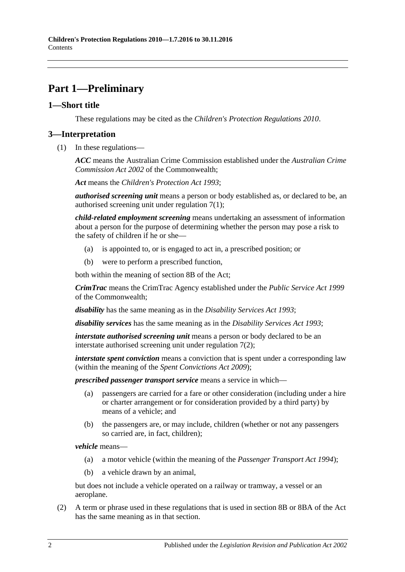# <span id="page-1-0"></span>**Part 1—Preliminary**

## <span id="page-1-1"></span>**1—Short title**

These regulations may be cited as the *Children's Protection Regulations 2010*.

## <span id="page-1-2"></span>**3—Interpretation**

(1) In these regulations—

*ACC* means the Australian Crime Commission established under the *Australian Crime Commission Act 2002* of the Commonwealth;

*Act* means the *[Children's Protection Act](http://www.legislation.sa.gov.au/index.aspx?action=legref&type=act&legtitle=Childrens%20Protection%20Act%201993) 1993*;

*authorised screening unit* means a person or body established as, or declared to be, an authorised screening unit under [regulation](#page-4-3) 7(1);

*child-related employment screening* means undertaking an assessment of information about a person for the purpose of determining whether the person may pose a risk to the safety of children if he or she—

- (a) is appointed to, or is engaged to act in, a prescribed position; or
- (b) were to perform a prescribed function,

both within the meaning of section 8B of the Act;

*CrimTrac* means the CrimTrac Agency established under the *Public Service Act 1999* of the Commonwealth;

*disability* has the same meaning as in the *[Disability Services Act](http://www.legislation.sa.gov.au/index.aspx?action=legref&type=act&legtitle=Disability%20Services%20Act%201993) 1993*;

*disability services* has the same meaning as in the *[Disability Services Act](http://www.legislation.sa.gov.au/index.aspx?action=legref&type=act&legtitle=Disability%20Services%20Act%201993) 1993*;

*interstate authorised screening unit* means a person or body declared to be an interstate authorised screening unit under [regulation](#page-4-4) 7(2);

*interstate spent conviction* means a conviction that is spent under a corresponding law (within the meaning of the *[Spent Convictions Act](http://www.legislation.sa.gov.au/index.aspx?action=legref&type=act&legtitle=Spent%20Convictions%20Act%202009) 2009*);

*prescribed passenger transport service* means a service in which—

- (a) passengers are carried for a fare or other consideration (including under a hire or charter arrangement or for consideration provided by a third party) by means of a vehicle; and
- (b) the passengers are, or may include, children (whether or not any passengers so carried are, in fact, children);

*vehicle* means—

- (a) a motor vehicle (within the meaning of the *[Passenger Transport Act](http://www.legislation.sa.gov.au/index.aspx?action=legref&type=act&legtitle=Passenger%20Transport%20Act%201994) 1994*);
- (b) a vehicle drawn by an animal,

but does not include a vehicle operated on a railway or tramway, a vessel or an aeroplane.

(2) A term or phrase used in these regulations that is used in section 8B or 8BA of the Act has the same meaning as in that section.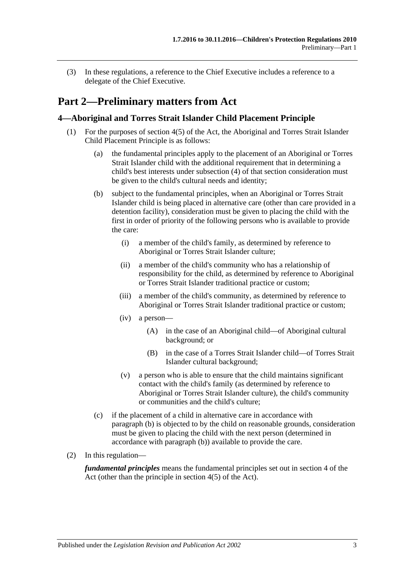(3) In these regulations, a reference to the Chief Executive includes a reference to a delegate of the Chief Executive.

# <span id="page-2-0"></span>**Part 2—Preliminary matters from Act**

## <span id="page-2-1"></span>**4—Aboriginal and Torres Strait Islander Child Placement Principle**

- <span id="page-2-2"></span>(1) For the purposes of section 4(5) of the Act, the Aboriginal and Torres Strait Islander Child Placement Principle is as follows:
	- (a) the fundamental principles apply to the placement of an Aboriginal or Torres Strait Islander child with the additional requirement that in determining a child's best interests under subsection (4) of that section consideration must be given to the child's cultural needs and identity;
	- (b) subject to the fundamental principles, when an Aboriginal or Torres Strait Islander child is being placed in alternative care (other than care provided in a detention facility), consideration must be given to placing the child with the first in order of priority of the following persons who is available to provide the care:
		- (i) a member of the child's family, as determined by reference to Aboriginal or Torres Strait Islander culture;
		- (ii) a member of the child's community who has a relationship of responsibility for the child, as determined by reference to Aboriginal or Torres Strait Islander traditional practice or custom;
		- (iii) a member of the child's community, as determined by reference to Aboriginal or Torres Strait Islander traditional practice or custom;
		- (iv) a person—
			- (A) in the case of an Aboriginal child—of Aboriginal cultural background; or
			- (B) in the case of a Torres Strait Islander child—of Torres Strait Islander cultural background;
		- (v) a person who is able to ensure that the child maintains significant contact with the child's family (as determined by reference to Aboriginal or Torres Strait Islander culture), the child's community or communities and the child's culture;
	- (c) if the placement of a child in alternative care in accordance with [paragraph](#page-2-2) (b) is objected to by the child on reasonable grounds, consideration must be given to placing the child with the next person (determined in accordance with [paragraph](#page-2-2) (b)) available to provide the care.
- (2) In this regulation—

*fundamental principles* means the fundamental principles set out in section 4 of the Act (other than the principle in section 4(5) of the Act).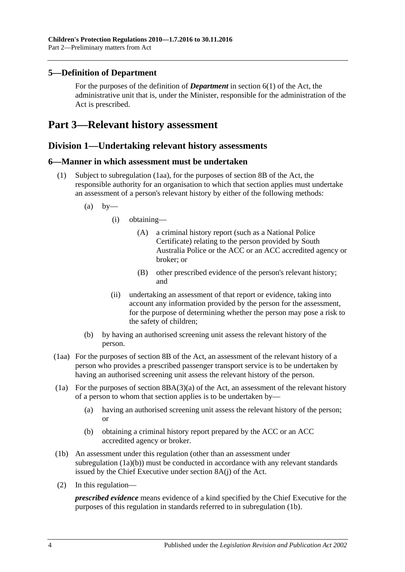## <span id="page-3-0"></span>**5—Definition of Department**

For the purposes of the definition of *Department* in section 6(1) of the Act, the administrative unit that is, under the Minister, responsible for the administration of the Act is prescribed.

# <span id="page-3-2"></span><span id="page-3-1"></span>**Part 3—Relevant history assessment**

## **Division 1—Undertaking relevant history assessments**

#### <span id="page-3-3"></span>**6—Manner in which assessment must be undertaken**

- (1) Subject to [subregulation](#page-3-4) (1aa), for the purposes of section 8B of the Act, the responsible authority for an organisation to which that section applies must undertake an assessment of a person's relevant history by either of the following methods:
	- $(a)$  by-
		- (i) obtaining—
			- (A) a criminal history report (such as a National Police Certificate) relating to the person provided by South Australia Police or the ACC or an ACC accredited agency or broker; or
			- (B) other prescribed evidence of the person's relevant history; and
		- (ii) undertaking an assessment of that report or evidence, taking into account any information provided by the person for the assessment, for the purpose of determining whether the person may pose a risk to the safety of children;
	- (b) by having an authorised screening unit assess the relevant history of the person.
- <span id="page-3-4"></span>(1aa) For the purposes of section 8B of the Act, an assessment of the relevant history of a person who provides a prescribed passenger transport service is to be undertaken by having an authorised screening unit assess the relevant history of the person.
- (1a) For the purposes of section  $8B(A(3)(a)$  of the Act, an assessment of the relevant history of a person to whom that section applies is to be undertaken by—
	- (a) having an authorised screening unit assess the relevant history of the person; or
	- (b) obtaining a criminal history report prepared by the ACC or an ACC accredited agency or broker.
- <span id="page-3-6"></span><span id="page-3-5"></span>(1b) An assessment under this regulation (other than an assessment under [subregulation](#page-3-5) (1a)(b)) must be conducted in accordance with any relevant standards issued by the Chief Executive under section 8A(j) of the Act.
- (2) In this regulation—

*prescribed evidence* means evidence of a kind specified by the Chief Executive for the purposes of this regulation in standards referred to in [subregulation](#page-3-6) (1b).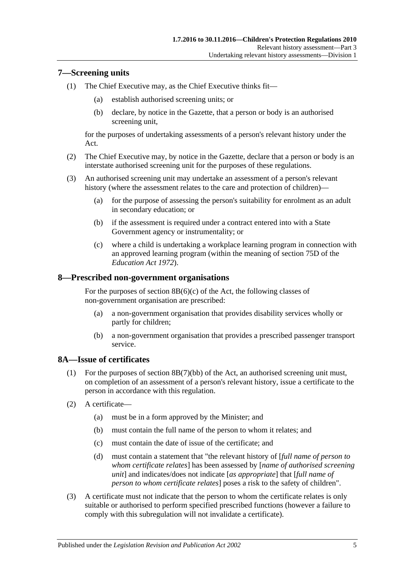## <span id="page-4-3"></span><span id="page-4-0"></span>**7—Screening units**

- <span id="page-4-5"></span>(1) The Chief Executive may, as the Chief Executive thinks fit—
	- (a) establish authorised screening units; or
	- (b) declare, by notice in the Gazette, that a person or body is an authorised screening unit,

for the purposes of undertaking assessments of a person's relevant history under the Act.

- <span id="page-4-4"></span>(2) The Chief Executive may, by notice in the Gazette, declare that a person or body is an interstate authorised screening unit for the purposes of these regulations.
- <span id="page-4-6"></span>(3) An authorised screening unit may undertake an assessment of a person's relevant history (where the assessment relates to the care and protection of children)—
	- (a) for the purpose of assessing the person's suitability for enrolment as an adult in secondary education; or
	- (b) if the assessment is required under a contract entered into with a State Government agency or instrumentality; or
	- (c) where a child is undertaking a workplace learning program in connection with an approved learning program (within the meaning of section 75D of the *[Education Act](http://www.legislation.sa.gov.au/index.aspx?action=legref&type=act&legtitle=Education%20Act%201972) 1972*).

#### <span id="page-4-1"></span>**8—Prescribed non-government organisations**

For the purposes of section  $8B(6)(c)$  of the Act, the following classes of non-government organisation are prescribed:

- (a) a non-government organisation that provides disability services wholly or partly for children;
- (b) a non-government organisation that provides a prescribed passenger transport service.

#### <span id="page-4-2"></span>**8A—Issue of certificates**

- (1) For the purposes of section 8B(7)(bb) of the Act, an authorised screening unit must, on completion of an assessment of a person's relevant history, issue a certificate to the person in accordance with this regulation.
- (2) A certificate—
	- (a) must be in a form approved by the Minister; and
	- (b) must contain the full name of the person to whom it relates; and
	- (c) must contain the date of issue of the certificate; and
	- (d) must contain a statement that "the relevant history of [*full name of person to whom certificate relates*] has been assessed by [*name of authorised screening unit*] and indicates/does not indicate [*as appropriate*] that [*full name of person to whom certificate relates*] poses a risk to the safety of children".
- (3) A certificate must not indicate that the person to whom the certificate relates is only suitable or authorised to perform specified prescribed functions (however a failure to comply with this subregulation will not invalidate a certificate).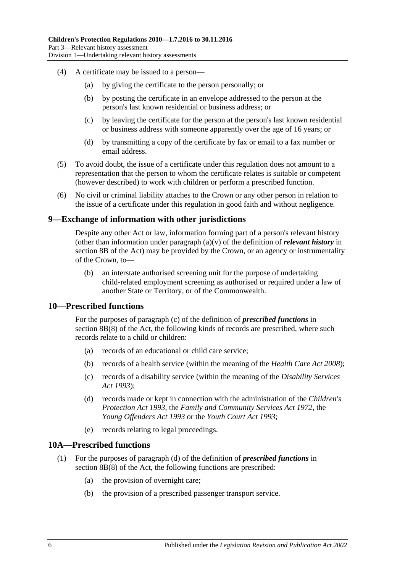- (4) A certificate may be issued to a person—
	- (a) by giving the certificate to the person personally; or
	- (b) by posting the certificate in an envelope addressed to the person at the person's last known residential or business address; or
	- (c) by leaving the certificate for the person at the person's last known residential or business address with someone apparently over the age of 16 years; or
	- (d) by transmitting a copy of the certificate by fax or email to a fax number or email address.
- (5) To avoid doubt, the issue of a certificate under this regulation does not amount to a representation that the person to whom the certificate relates is suitable or competent (however described) to work with children or perform a prescribed function.
- (6) No civil or criminal liability attaches to the Crown or any other person in relation to the issue of a certificate under this regulation in good faith and without negligence.

#### <span id="page-5-0"></span>**9—Exchange of information with other jurisdictions**

Despite any other Act or law, information forming part of a person's relevant history (other than information under paragraph (a)(v) of the definition of *relevant history* in section 8B of the Act) may be provided by the Crown, or an agency or instrumentality of the Crown, to—

(b) an interstate authorised screening unit for the purpose of undertaking child-related employment screening as authorised or required under a law of another State or Territory, or of the Commonwealth.

#### <span id="page-5-1"></span>**10—Prescribed functions**

For the purposes of paragraph (c) of the definition of *prescribed functions* in section 8B(8) of the Act, the following kinds of records are prescribed, where such records relate to a child or children:

- (a) records of an educational or child care service;
- (b) records of a health service (within the meaning of the *[Health Care Act](http://www.legislation.sa.gov.au/index.aspx?action=legref&type=act&legtitle=Health%20Care%20Act%202008) 2008*);
- (c) records of a disability service (within the meaning of the *[Disability Services](http://www.legislation.sa.gov.au/index.aspx?action=legref&type=act&legtitle=Disability%20Services%20Act%201993)  Act [1993](http://www.legislation.sa.gov.au/index.aspx?action=legref&type=act&legtitle=Disability%20Services%20Act%201993)*);
- (d) records made or kept in connection with the administration of the *[Children's](http://www.legislation.sa.gov.au/index.aspx?action=legref&type=act&legtitle=Childrens%20Protection%20Act%201993)  [Protection Act](http://www.legislation.sa.gov.au/index.aspx?action=legref&type=act&legtitle=Childrens%20Protection%20Act%201993) 1993*, the *[Family and Community Services Act](http://www.legislation.sa.gov.au/index.aspx?action=legref&type=act&legtitle=Family%20and%20Community%20Services%20Act%201972) 1972*, the *[Young Offenders Act](http://www.legislation.sa.gov.au/index.aspx?action=legref&type=act&legtitle=Young%20Offenders%20Act%201993) 1993* or the *[Youth Court Act](http://www.legislation.sa.gov.au/index.aspx?action=legref&type=act&legtitle=Youth%20Court%20Act%201993) 1993*;
- (e) records relating to legal proceedings.

#### <span id="page-5-2"></span>**10A—Prescribed functions**

- (1) For the purposes of paragraph (d) of the definition of *prescribed functions* in section 8B(8) of the Act, the following functions are prescribed:
	- (a) the provision of overnight care;
	- (b) the provision of a prescribed passenger transport service.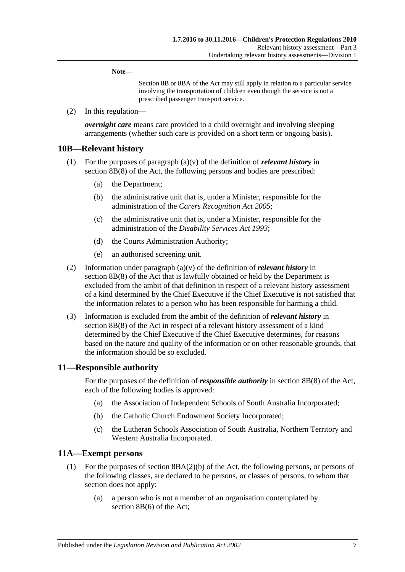**Note—**

Section 8B or 8BA of the Act may still apply in relation to a particular service involving the transportation of children even though the service is not a prescribed passenger transport service.

(2) In this regulation—

*overnight care* means care provided to a child overnight and involving sleeping arrangements (whether such care is provided on a short term or ongoing basis).

#### <span id="page-6-0"></span>**10B—Relevant history**

- (1) For the purposes of paragraph (a)(v) of the definition of *relevant history* in section 8B(8) of the Act, the following persons and bodies are prescribed:
	- (a) the Department;
	- (b) the administrative unit that is, under a Minister, responsible for the administration of the *[Carers Recognition Act](http://www.legislation.sa.gov.au/index.aspx?action=legref&type=act&legtitle=Carers%20Recognition%20Act%202005) 2005*;
	- (c) the administrative unit that is, under a Minister, responsible for the administration of the *[Disability Services Act](http://www.legislation.sa.gov.au/index.aspx?action=legref&type=act&legtitle=Disability%20Services%20Act%201993) 1993*;
	- (d) the Courts Administration Authority;
	- (e) an authorised screening unit.
- (2) Information under paragraph (a)(v) of the definition of *relevant history* in section 8B(8) of the Act that is lawfully obtained or held by the Department is excluded from the ambit of that definition in respect of a relevant history assessment of a kind determined by the Chief Executive if the Chief Executive is not satisfied that the information relates to a person who has been responsible for harming a child.
- (3) Information is excluded from the ambit of the definition of *relevant history* in section 8B(8) of the Act in respect of a relevant history assessment of a kind determined by the Chief Executive if the Chief Executive determines, for reasons based on the nature and quality of the information or on other reasonable grounds, that the information should be so excluded.

#### <span id="page-6-1"></span>**11—Responsible authority**

For the purposes of the definition of *responsible authority* in section 8B(8) of the Act, each of the following bodies is approved:

- (a) the Association of Independent Schools of South Australia Incorporated;
- (b) the Catholic Church Endowment Society Incorporated;
- (c) the Lutheran Schools Association of South Australia, Northern Territory and Western Australia Incorporated.

#### <span id="page-6-2"></span>**11A—Exempt persons**

- <span id="page-6-3"></span>(1) For the purposes of section 8BA(2)(b) of the Act, the following persons, or persons of the following classes, are declared to be persons, or classes of persons, to whom that section does not apply:
	- (a) a person who is not a member of an organisation contemplated by section 8B(6) of the Act;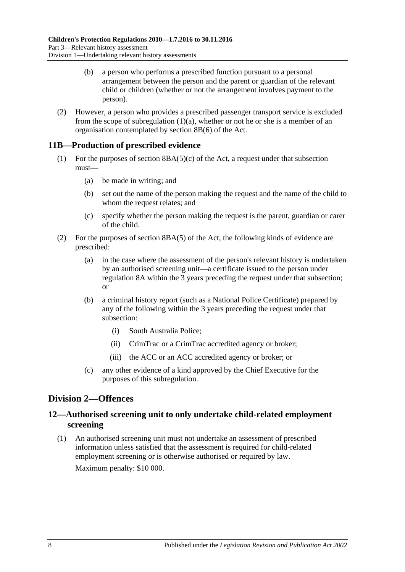- (b) a person who performs a prescribed function pursuant to a personal arrangement between the person and the parent or guardian of the relevant child or children (whether or not the arrangement involves payment to the person).
- (2) However, a person who provides a prescribed passenger transport service is excluded from the scope of [subregulation](#page-6-3)  $(1)(a)$ , whether or not he or she is a member of an organisation contemplated by section 8B(6) of the Act.

## <span id="page-7-0"></span>**11B—Production of prescribed evidence**

- (1) For the purposes of section  $8BA(5)(c)$  of the Act, a request under that subsection must—
	- (a) be made in writing; and
	- (b) set out the name of the person making the request and the name of the child to whom the request relates; and
	- (c) specify whether the person making the request is the parent, guardian or carer of the child.
- (2) For the purposes of section 8BA(5) of the Act, the following kinds of evidence are prescribed:
	- (a) in the case where the assessment of the person's relevant history is undertaken by an authorised screening unit—a certificate issued to the person under [regulation](#page-4-2) 8A within the 3 years preceding the request under that subsection; or
	- (b) a criminal history report (such as a National Police Certificate) prepared by any of the following within the 3 years preceding the request under that subsection:
		- (i) South Australia Police;
		- (ii) CrimTrac or a CrimTrac accredited agency or broker;
		- (iii) the ACC or an ACC accredited agency or broker; or
	- (c) any other evidence of a kind approved by the Chief Executive for the purposes of this subregulation.

# <span id="page-7-1"></span>**Division 2—Offences**

## <span id="page-7-2"></span>**12—Authorised screening unit to only undertake child-related employment screening**

(1) An authorised screening unit must not undertake an assessment of prescribed information unless satisfied that the assessment is required for child-related employment screening or is otherwise authorised or required by law. Maximum penalty: \$10 000.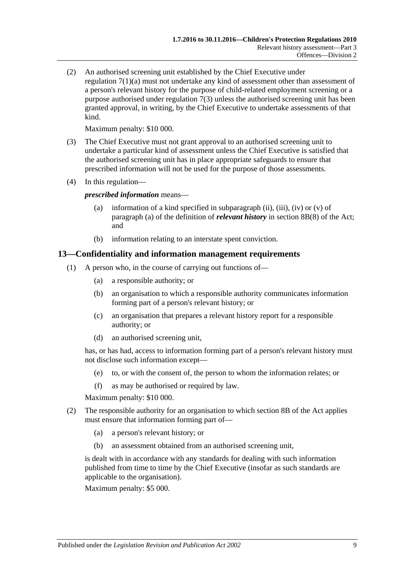(2) An authorised screening unit established by the Chief Executive under [regulation](#page-4-5) 7(1)(a) must not undertake any kind of assessment other than assessment of a person's relevant history for the purpose of child-related employment screening or a purpose authorised under [regulation](#page-4-6) 7(3) unless the authorised screening unit has been granted approval, in writing, by the Chief Executive to undertake assessments of that kind.

Maximum penalty: \$10 000.

- (3) The Chief Executive must not grant approval to an authorised screening unit to undertake a particular kind of assessment unless the Chief Executive is satisfied that the authorised screening unit has in place appropriate safeguards to ensure that prescribed information will not be used for the purpose of those assessments.
- (4) In this regulation—

*prescribed information* means—

- (a) information of a kind specified in subparagraph (ii), (iii), (iv) or (v) of paragraph (a) of the definition of *relevant history* in section 8B(8) of the Act; and
- (b) information relating to an interstate spent conviction.

## <span id="page-8-0"></span>**13—Confidentiality and information management requirements**

- (1) A person who, in the course of carrying out functions of—
	- (a) a responsible authority; or
	- (b) an organisation to which a responsible authority communicates information forming part of a person's relevant history; or
	- (c) an organisation that prepares a relevant history report for a responsible authority; or
	- (d) an authorised screening unit,

has, or has had, access to information forming part of a person's relevant history must not disclose such information except—

- (e) to, or with the consent of, the person to whom the information relates; or
- (f) as may be authorised or required by law.

Maximum penalty: \$10 000.

- (2) The responsible authority for an organisation to which section 8B of the Act applies must ensure that information forming part of—
	- (a) a person's relevant history; or
	- (b) an assessment obtained from an authorised screening unit,

is dealt with in accordance with any standards for dealing with such information published from time to time by the Chief Executive (insofar as such standards are applicable to the organisation).

Maximum penalty: \$5 000.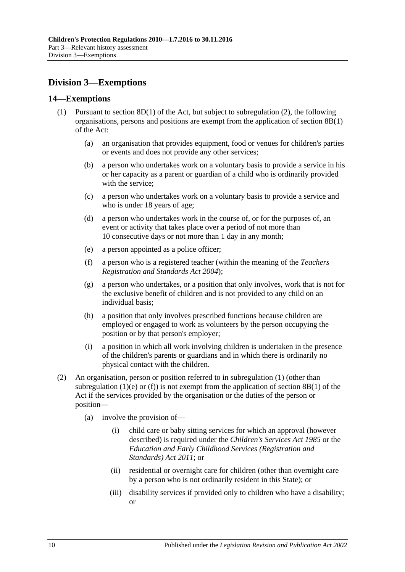# <span id="page-9-0"></span>**Division 3—Exemptions**

### <span id="page-9-3"></span><span id="page-9-1"></span>**14—Exemptions**

- <span id="page-9-4"></span>(1) Pursuant to section  $8D(1)$  of the Act, but subject to [subregulation](#page-9-2) (2), the following organisations, persons and positions are exempt from the application of section 8B(1) of the Act:
	- (a) an organisation that provides equipment, food or venues for children's parties or events and does not provide any other services;
	- (b) a person who undertakes work on a voluntary basis to provide a service in his or her capacity as a parent or guardian of a child who is ordinarily provided with the service;
	- (c) a person who undertakes work on a voluntary basis to provide a service and who is under 18 years of age;
	- (d) a person who undertakes work in the course of, or for the purposes of, an event or activity that takes place over a period of not more than 10 consecutive days or not more than 1 day in any month;
	- (e) a person appointed as a police officer;
	- (f) a person who is a registered teacher (within the meaning of the *[Teachers](http://www.legislation.sa.gov.au/index.aspx?action=legref&type=act&legtitle=Teachers%20Registration%20and%20Standards%20Act%202004)  [Registration and Standards Act](http://www.legislation.sa.gov.au/index.aspx?action=legref&type=act&legtitle=Teachers%20Registration%20and%20Standards%20Act%202004) 2004*);
	- (g) a person who undertakes, or a position that only involves, work that is not for the exclusive benefit of children and is not provided to any child on an individual basis;
	- (h) a position that only involves prescribed functions because children are employed or engaged to work as volunteers by the person occupying the position or by that person's employer;
	- (i) a position in which all work involving children is undertaken in the presence of the children's parents or guardians and in which there is ordinarily no physical contact with the children.
- <span id="page-9-5"></span><span id="page-9-2"></span>(2) An organisation, person or position referred to in [subregulation](#page-9-3) (1) (other than [subregulation](#page-9-4) (1)(e) or [\(f\)\)](#page-9-5) is not exempt from the application of section 8B(1) of the Act if the services provided by the organisation or the duties of the person or position—
	- (a) involve the provision of—
		- (i) child care or baby sitting services for which an approval (however described) is required under the *[Children's Services Act](http://www.legislation.sa.gov.au/index.aspx?action=legref&type=act&legtitle=Childrens%20Services%20Act%201985) 1985* or the *[Education and Early Childhood Services \(Registration and](http://www.legislation.sa.gov.au/index.aspx?action=legref&type=act&legtitle=Education%20and%20Early%20Childhood%20Services%20(Registration%20and%20Standards)%20Act%202011)  [Standards\) Act](http://www.legislation.sa.gov.au/index.aspx?action=legref&type=act&legtitle=Education%20and%20Early%20Childhood%20Services%20(Registration%20and%20Standards)%20Act%202011) 2011*; or
		- (ii) residential or overnight care for children (other than overnight care by a person who is not ordinarily resident in this State); or
		- (iii) disability services if provided only to children who have a disability; or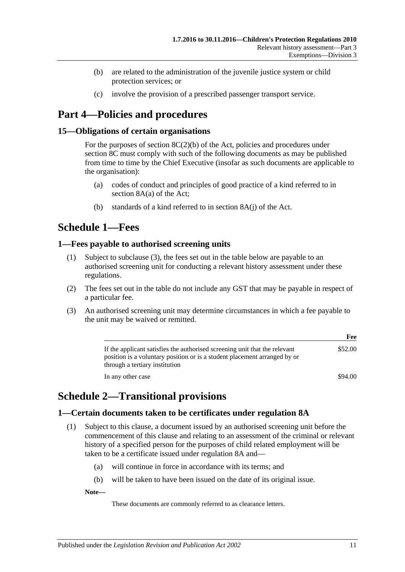- (b) are related to the administration of the juvenile justice system or child protection services; or
- (c) involve the provision of a prescribed passenger transport service.

# <span id="page-10-0"></span>**Part 4—Policies and procedures**

## <span id="page-10-1"></span>**15—Obligations of certain organisations**

For the purposes of section  $8C(2)(b)$  of the Act, policies and procedures under section 8C must comply with such of the following documents as may be published from time to time by the Chief Executive (insofar as such documents are applicable to the organisation):

- (a) codes of conduct and principles of good practice of a kind referred to in section 8A(a) of the Act;
- (b) standards of a kind referred to in section 8A(j) of the Act.

# <span id="page-10-2"></span>**Schedule 1—Fees**

## <span id="page-10-3"></span>**1—Fees payable to authorised screening units**

- (1) Subject to [subclause](#page-10-6) (3), the fees set out in the table below are payable to an authorised screening unit for conducting a relevant history assessment under these regulations.
- (2) The fees set out in the table do not include any GST that may be payable in respect of a particular fee.
- <span id="page-10-6"></span>(3) An authorised screening unit may determine circumstances in which a fee payable to the unit may be waived or remitted.

|                                                                                                                                                                                           | Fee     |
|-------------------------------------------------------------------------------------------------------------------------------------------------------------------------------------------|---------|
| If the applicant satisfies the authorised screening unit that the relevant<br>position is a voluntary position or is a student placement arranged by or<br>through a tertiary institution | \$52.00 |
| In any other case                                                                                                                                                                         | \$94.00 |

# <span id="page-10-4"></span>**Schedule 2—Transitional provisions**

# <span id="page-10-7"></span><span id="page-10-5"></span>**1—Certain documents taken to be certificates under regulation 8A**

- (1) Subject to this clause, a document issued by an authorised screening unit before the commencement of this clause and relating to an assessment of the criminal or relevant history of a specified person for the purposes of child related employment will be taken to be a certificate issued under [regulation](#page-4-2) 8A and—
	- (a) will continue in force in accordance with its terms; and
	- (b) will be taken to have been issued on the date of its original issue.

**Note—**

These documents are commonly referred to as clearance letters.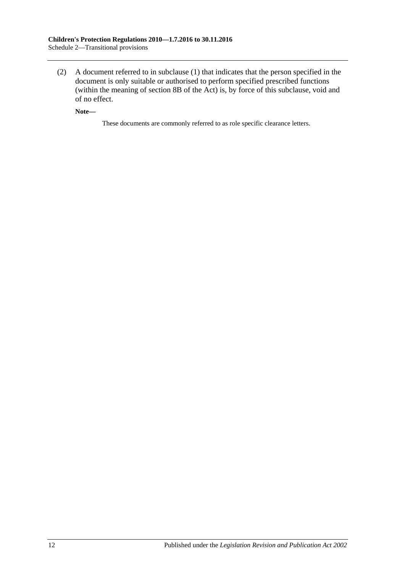(2) A document referred to in [subclause](#page-10-7) (1) that indicates that the person specified in the document is only suitable or authorised to perform specified prescribed functions (within the meaning of section 8B of the Act) is, by force of this subclause, void and of no effect.

**Note—**

These documents are commonly referred to as role specific clearance letters.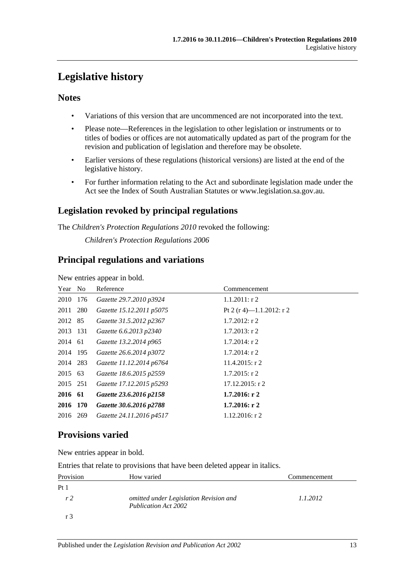# <span id="page-12-0"></span>**Legislative history**

# **Notes**

- Variations of this version that are uncommenced are not incorporated into the text.
- Please note—References in the legislation to other legislation or instruments or to titles of bodies or offices are not automatically updated as part of the program for the revision and publication of legislation and therefore may be obsolete.
- Earlier versions of these regulations (historical versions) are listed at the end of the legislative history.
- For further information relating to the Act and subordinate legislation made under the Act see the Index of South Australian Statutes or www.legislation.sa.gov.au.

# **Legislation revoked by principal regulations**

The *Children's Protection Regulations 2010* revoked the following:

*Children's Protection Regulations 2006*

# **Principal regulations and variations**

New entries appear in bold.

| Year No  |     | Reference                | Commencement             |
|----------|-----|--------------------------|--------------------------|
| 2010     | 176 | Gazette 29.7.2010 p3924  | $1.1.2011:$ r 2          |
| 2011 280 |     | Gazette 15.12.2011 p5075 | Pt 2 (r 4)-1.1.2012: r 2 |
| 2012 85  |     | Gazette 31.5.2012 p2367  | $1.7.2012$ : r 2         |
| 2013 131 |     | Gazette 6.6.2013 p2340   | $1.7.2013$ : r 2         |
| 2014 61  |     | Gazette 13.2.2014 p965   | $1.7.2014$ : r 2         |
| 2014 195 |     | Gazette 26.6.2014 p3072  | $1.7.2014$ : r 2         |
| 2014 283 |     | Gazette 11.12.2014 p6764 | $11.4.2015$ : r 2        |
| 2015 63  |     | Gazette 18.6.2015 p2559  | $1.7.2015$ : r 2         |
| 2015 251 |     | Gazette 17.12.2015 p5293 | $17.12.2015$ : r 2       |
| 2016 61  |     | Gazette 23.6.2016 p2158  | $1.7.2016$ : r 2         |
| 2016 170 |     | Gazette 30.6.2016 p2788  | $1.7.2016$ : r 2         |
| 2016 269 |     | Gazette 24.11.2016 p4517 | $1.12.2016$ : r 2        |

# **Provisions varied**

New entries appear in bold.

Entries that relate to provisions that have been deleted appear in italics.

| Provision       | How varied                                                            | Commencement |
|-----------------|-----------------------------------------------------------------------|--------------|
| Pt <sub>1</sub> |                                                                       |              |
| r <sub>2</sub>  | omitted under Legislation Revision and<br><b>Publication Act 2002</b> | 1.1.2012     |
|                 |                                                                       |              |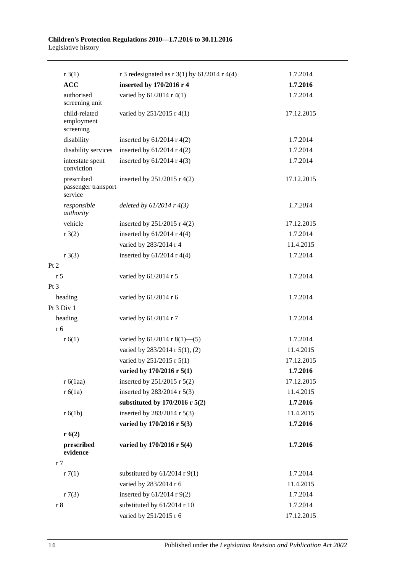| $r \cdot 3(1)$                               | r 3 redesignated as r 3(1) by $61/2014$ r 4(4) | 1.7.2014   |
|----------------------------------------------|------------------------------------------------|------------|
| <b>ACC</b>                                   | inserted by 170/2016 r 4                       | 1.7.2016   |
| authorised<br>screening unit                 | varied by 61/2014 r 4(1)                       | 1.7.2014   |
| child-related<br>employment<br>screening     | varied by 251/2015 r 4(1)                      | 17.12.2015 |
| disability                                   | inserted by $61/2014$ r 4(2)                   | 1.7.2014   |
| disability services                          | inserted by $61/2014$ r 4(2)                   | 1.7.2014   |
| interstate spent<br>conviction               | inserted by $61/2014$ r 4(3)                   | 1.7.2014   |
| prescribed<br>passenger transport<br>service | inserted by $251/2015$ r 4(2)                  | 17.12.2015 |
| responsible<br>authority                     | deleted by $61/2014$ r $4(3)$                  | 1.7.2014   |
| vehicle                                      | inserted by $251/2015$ r 4(2)                  | 17.12.2015 |
| r3(2)                                        | inserted by $61/2014$ r 4(4)                   | 1.7.2014   |
|                                              | varied by 283/2014 r 4                         | 11.4.2015  |
| $r \cdot 3(3)$                               | inserted by $61/2014$ r 4(4)                   | 1.7.2014   |
| Pt 2                                         |                                                |            |
| r <sub>5</sub>                               | varied by 61/2014 r 5                          | 1.7.2014   |
| $Pt\,3$                                      |                                                |            |
| heading                                      | varied by 61/2014 r 6                          | 1.7.2014   |
| Pt 3 Div 1                                   |                                                |            |
| heading                                      | varied by 61/2014 r 7                          | 1.7.2014   |
| r 6                                          |                                                |            |
| r(6(1))                                      | varied by $61/2014$ r $8(1)$ —(5)              | 1.7.2014   |
|                                              | varied by 283/2014 r 5(1), (2)                 | 11.4.2015  |
|                                              | varied by 251/2015 r 5(1)                      | 17.12.2015 |
|                                              | varied by 170/2016 r 5(1)                      | 1.7.2016   |
| r 6(1aa)                                     | inserted by 251/2015 r 5(2)                    | 17.12.2015 |
| r 6(1a)                                      | inserted by 283/2014 r 5(3)                    | 11.4.2015  |
|                                              | substituted by $170/2016$ r $5(2)$             | 1.7.2016   |
| r 6(1b)                                      | inserted by 283/2014 r 5(3)                    | 11.4.2015  |
|                                              | varied by 170/2016 r 5(3)                      | 1.7.2016   |
| r(6(2))                                      |                                                |            |
| prescribed<br>evidence                       | varied by 170/2016 r 5(4)                      | 1.7.2016   |
| r <sub>7</sub>                               |                                                |            |
| r7(1)                                        | substituted by $61/2014$ r $9(1)$              | 1.7.2014   |
|                                              | varied by 283/2014 r 6                         | 11.4.2015  |
| r7(3)                                        | inserted by $61/2014$ r $9(2)$                 | 1.7.2014   |
| r 8                                          | substituted by 61/2014 r 10                    | 1.7.2014   |
|                                              | varied by 251/2015 r 6                         | 17.12.2015 |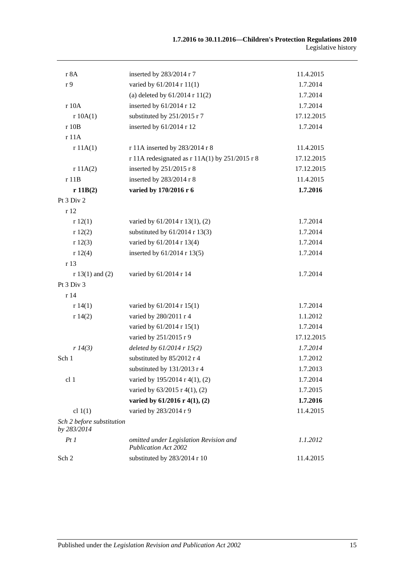| r 8A                                     | inserted by 283/2014 r 7                                              | 11.4.2015  |
|------------------------------------------|-----------------------------------------------------------------------|------------|
| r 9                                      | varied by 61/2014 r 11(1)                                             | 1.7.2014   |
|                                          | (a) deleted by $61/2014$ r $11(2)$                                    | 1.7.2014   |
| r 10A                                    | inserted by 61/2014 r 12                                              | 1.7.2014   |
| r 10A(1)                                 | substituted by 251/2015 r 7                                           | 17.12.2015 |
| r 10B                                    | inserted by 61/2014 r 12                                              | 1.7.2014   |
| r11A                                     |                                                                       |            |
| r 11A(1)                                 | r 11A inserted by 283/2014 r 8                                        | 11.4.2015  |
|                                          | r 11A redesignated as $r 11A(1)$ by 251/2015 r 8                      | 17.12.2015 |
| r 11A(2)                                 | inserted by 251/2015 r 8                                              | 17.12.2015 |
| r 11B                                    | inserted by 283/2014 r 8                                              | 11.4.2015  |
| r 11B(2)                                 | varied by 170/2016 r 6                                                | 1.7.2016   |
| Pt 3 Div 2                               |                                                                       |            |
| r 12                                     |                                                                       |            |
| r12(1)                                   | varied by 61/2014 r 13(1), (2)                                        | 1.7.2014   |
| r12(2)                                   | substituted by $61/2014$ r 13(3)                                      | 1.7.2014   |
| r12(3)                                   | varied by 61/2014 r 13(4)                                             | 1.7.2014   |
| r12(4)                                   | inserted by 61/2014 r 13(5)                                           | 1.7.2014   |
| r 13                                     |                                                                       |            |
| $r 13(1)$ and (2)                        | varied by 61/2014 r 14                                                | 1.7.2014   |
| Pt 3 Div 3                               |                                                                       |            |
| r 14                                     |                                                                       |            |
| r 14(1)                                  | varied by 61/2014 r 15(1)                                             | 1.7.2014   |
| r 14(2)                                  | varied by 280/2011 r 4                                                | 1.1.2012   |
|                                          | varied by 61/2014 r 15(1)                                             | 1.7.2014   |
|                                          | varied by 251/2015 r 9                                                | 17.12.2015 |
| r 14(3)                                  | deleted by $61/2014$ r $15(2)$                                        | 1.7.2014   |
| Sch 1                                    | substituted by 85/2012 r 4                                            | 1.7.2012   |
|                                          | substituted by 131/2013 r 4                                           | 1.7.2013   |
| cl <sub>1</sub>                          | varied by 195/2014 r 4(1), (2)                                        | 1.7.2014   |
|                                          | varied by $63/2015$ r 4(1), (2)                                       | 1.7.2015   |
|                                          | varied by $61/2016$ r $4(1)$ , $(2)$                                  | 1.7.2016   |
| cl $1(1)$                                | varied by 283/2014 r 9                                                | 11.4.2015  |
| Sch 2 before substitution<br>by 283/2014 |                                                                       |            |
| PtI                                      | omitted under Legislation Revision and<br><b>Publication Act 2002</b> | 1.1.2012   |
| Sch 2                                    | substituted by 283/2014 r 10                                          | 11.4.2015  |